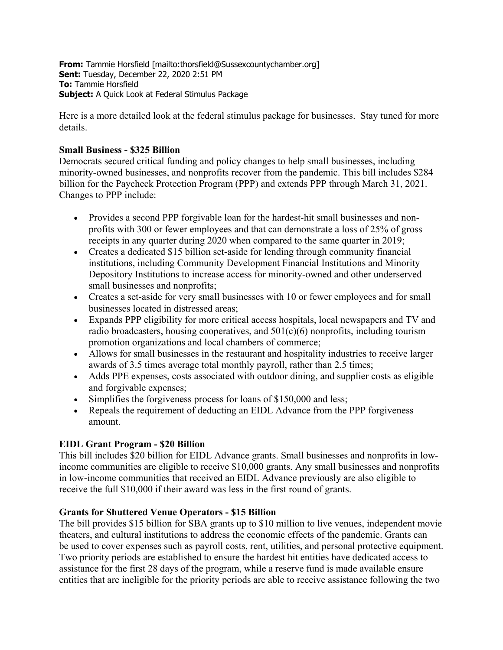**From:** Tammie Horsfield [mailto:thorsfield@Sussexcountychamber.org] **Sent:** Tuesday, December 22, 2020 2:51 PM **To:** Tammie Horsfield **Subject:** A Quick Look at Federal Stimulus Package

Here is a more detailed look at the federal stimulus package for businesses. Stay tuned for more details.

# **Small Business - \$325 Billion**

Democrats secured critical funding and policy changes to help small businesses, including minority-owned businesses, and nonprofits recover from the pandemic. This bill includes \$284 billion for the Paycheck Protection Program (PPP) and extends PPP through March 31, 2021. Changes to PPP include:

- Provides a second PPP forgivable loan for the hardest-hit small businesses and nonprofits with 300 or fewer employees and that can demonstrate a loss of 25% of gross receipts in any quarter during 2020 when compared to the same quarter in 2019;
- Creates a dedicated \$15 billion set-aside for lending through community financial institutions, including Community Development Financial Institutions and Minority Depository Institutions to increase access for minority-owned and other underserved small businesses and nonprofits;
- Creates a set-aside for very small businesses with 10 or fewer employees and for small businesses located in distressed areas;
- Expands PPP eligibility for more critical access hospitals, local newspapers and TV and radio broadcasters, housing cooperatives, and  $501(c)(6)$  nonprofits, including tourism promotion organizations and local chambers of commerce;
- Allows for small businesses in the restaurant and hospitality industries to receive larger awards of 3.5 times average total monthly payroll, rather than 2.5 times;
- Adds PPE expenses, costs associated with outdoor dining, and supplier costs as eligible and forgivable expenses;
- Simplifies the forgiveness process for loans of \$150,000 and less;
- Repeals the requirement of deducting an EIDL Advance from the PPP forgiveness amount.

# **EIDL Grant Program - \$20 Billion**

This bill includes \$20 billion for EIDL Advance grants. Small businesses and nonprofits in lowincome communities are eligible to receive \$10,000 grants. Any small businesses and nonprofits in low-income communities that received an EIDL Advance previously are also eligible to receive the full \$10,000 if their award was less in the first round of grants.

# **Grants for Shuttered Venue Operators - \$15 Billion**

The bill provides \$15 billion for SBA grants up to \$10 million to live venues, independent movie theaters, and cultural institutions to address the economic effects of the pandemic. Grants can be used to cover expenses such as payroll costs, rent, utilities, and personal protective equipment. Two priority periods are established to ensure the hardest hit entities have dedicated access to assistance for the first 28 days of the program, while a reserve fund is made available ensure entities that are ineligible for the priority periods are able to receive assistance following the two